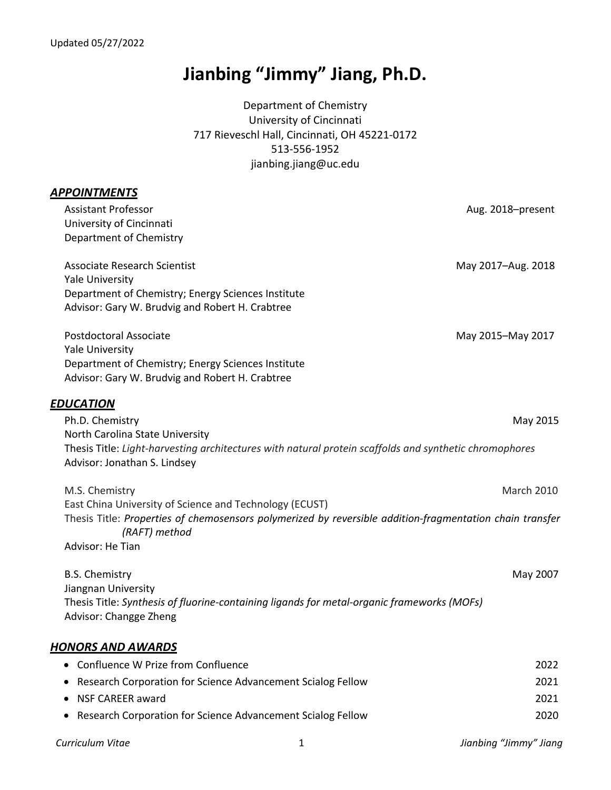# **Jianbing "Jimmy" Jiang, Ph.D.**

Department of Chemistry University of Cincinnati 717 Rieveschl Hall, Cincinnati, OH 45221-0172 513-556-1952 jianbing.jiang@uc.edu

| <b>APPOINTMENTS</b>                                                                                                       |                    |
|---------------------------------------------------------------------------------------------------------------------------|--------------------|
| <b>Assistant Professor</b>                                                                                                | Aug. 2018-present  |
| University of Cincinnati                                                                                                  |                    |
| Department of Chemistry                                                                                                   |                    |
| <b>Associate Research Scientist</b>                                                                                       | May 2017-Aug. 2018 |
| <b>Yale University</b>                                                                                                    |                    |
| Department of Chemistry; Energy Sciences Institute                                                                        |                    |
| Advisor: Gary W. Brudvig and Robert H. Crabtree                                                                           |                    |
| <b>Postdoctoral Associate</b>                                                                                             | May 2015-May 2017  |
| <b>Yale University</b>                                                                                                    |                    |
| Department of Chemistry; Energy Sciences Institute                                                                        |                    |
| Advisor: Gary W. Brudvig and Robert H. Crabtree                                                                           |                    |
| <b>EDUCATION</b>                                                                                                          |                    |
| Ph.D. Chemistry                                                                                                           | May 2015           |
| North Carolina State University                                                                                           |                    |
| Thesis Title: Light-harvesting architectures with natural protein scaffolds and synthetic chromophores                    |                    |
| Advisor: Jonathan S. Lindsey                                                                                              |                    |
| M.S. Chemistry                                                                                                            | <b>March 2010</b>  |
| East China University of Science and Technology (ECUST)                                                                   |                    |
| Thesis Title: Properties of chemosensors polymerized by reversible addition-fragmentation chain transfer<br>(RAFT) method |                    |
| Advisor: He Tian                                                                                                          |                    |
| <b>B.S. Chemistry</b>                                                                                                     | May 2007           |
| Jiangnan University                                                                                                       |                    |
| Thesis Title: Synthesis of fluorine-containing ligands for metal-organic frameworks (MOFs)                                |                    |
| Advisor: Changge Zheng                                                                                                    |                    |
| <b>HONORS AND AWARDS</b>                                                                                                  |                    |
| Confluence W Prize from Confluence                                                                                        | 2022               |
| Research Corporation for Science Advancement Scialog Fellow                                                               | 2021               |
| <b>NSF CAREER award</b>                                                                                                   | 2021               |
| Research Corporation for Science Advancement Scialog Fellow                                                               | 2020               |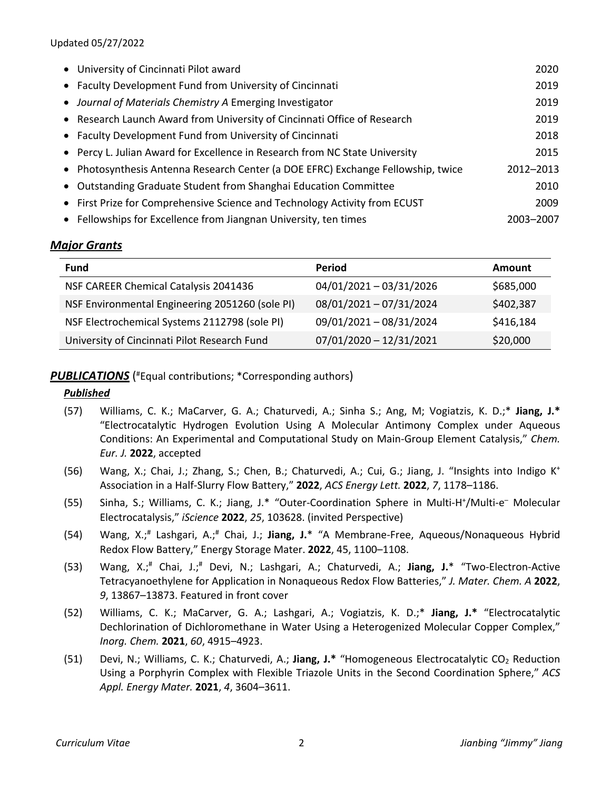#### Updated 05/27/2022

| • University of Cincinnati Pilot award                                           | 2020      |
|----------------------------------------------------------------------------------|-----------|
| • Faculty Development Fund from University of Cincinnati                         | 2019      |
| • Journal of Materials Chemistry A Emerging Investigator                         | 2019      |
| • Research Launch Award from University of Cincinnati Office of Research         | 2019      |
| • Faculty Development Fund from University of Cincinnati                         | 2018      |
| • Percy L. Julian Award for Excellence in Research from NC State University      | 2015      |
| • Photosynthesis Antenna Research Center (a DOE EFRC) Exchange Fellowship, twice | 2012-2013 |
| • Outstanding Graduate Student from Shanghai Education Committee                 | 2010      |
| • First Prize for Comprehensive Science and Technology Activity from ECUST       | 2009      |
| • Fellowships for Excellence from Jiangnan University, ten times                 | 2003-2007 |

## *Major Grants*

| <b>Fund</b>                                     | Period                    | Amount    |
|-------------------------------------------------|---------------------------|-----------|
| NSF CAREER Chemical Catalysis 2041436           | 04/01/2021 - 03/31/2026   | \$685,000 |
| NSF Environmental Engineering 2051260 (sole PI) | 08/01/2021 - 07/31/2024   | \$402,387 |
| NSF Electrochemical Systems 2112798 (sole PI)   | 09/01/2021 - 08/31/2024   | \$416,184 |
| University of Cincinnati Pilot Research Fund    | $07/01/2020 - 12/31/2021$ | \$20,000  |

### PUBLICATIONS<sup>(#</sup>Equal contributions; \*Corresponding authors)

#### *Published*

- (57) Williams, C. K.; MaCarver, G. A.; Chaturvedi, A.; Sinha S.; Ang, M; Vogiatzis, K. D.;\* **Jiang, J.\*** "Electrocatalytic Hydrogen Evolution Using A Molecular Antimony Complex under Aqueous Conditions: An Experimental and Computational Study on Main-Group Element Catalysis," *Chem. Eur. J.* **2022**, accepted
- (56) Wang, X.; Chai, J.; Zhang, S.; Chen, B.; Chaturvedi, A.; Cui, G.; Jiang, J. "Insights into Indigo K+ Association in a Half-Slurry Flow Battery," **2022**, *ACS Energy Lett.* **2022**, *7*, 1178–1186.
- (55) Sinha, S.; Williams, C. K.; Jiang, J.\* "Outer-Coordination Sphere in Multi-H<sup>+</sup>/Multi-e<sup>-</sup> Molecular Electrocatalysis," *iScience* **2022**, *25*, 103628. (invited Perspective)
- (54) Wang, X.;# Lashgari, A.;# Chai, J.; **Jiang, J.**\* "A Membrane-Free, Aqueous/Nonaqueous Hybrid Redox Flow Battery," Energy Storage Mater. **2022**, 45, 1100–1108.
- (53) Wang, X.;# Chai, J.;# Devi, N.; Lashgari, A.; Chaturvedi, A.; **Jiang, J.**\* "Two-Electron-Active Tetracyanoethylene for Application in Nonaqueous Redox Flow Batteries," *J. Mater. Chem. A* **2022**, *9*, 13867–13873. Featured in front cover
- (52) Williams, C. K.; MaCarver, G. A.; Lashgari, A.; Vogiatzis, K. D.;\* **Jiang, J.\*** "Electrocatalytic Dechlorination of Dichloromethane in Water Using a Heterogenized Molecular Copper Complex," *Inorg. Chem.* **2021**, *60*, 4915–4923.
- (51) Devi, N.; Williams, C. K.; Chaturvedi, A.; **Jiang, J.\*** "Homogeneous Electrocatalytic CO2 Reduction Using a Porphyrin Complex with Flexible Triazole Units in the Second Coordination Sphere," *ACS Appl. Energy Mater.* **2021**, *4*, 3604–3611.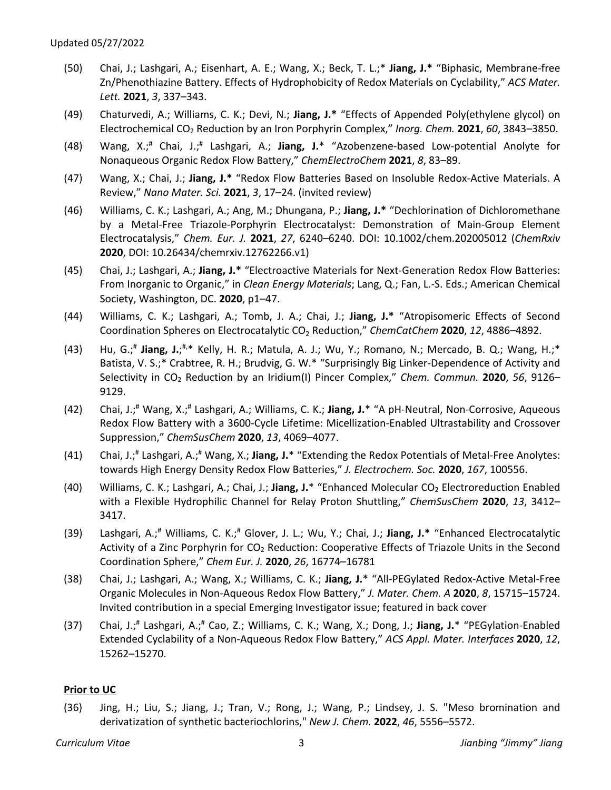- (50) Chai, J.; Lashgari, A.; Eisenhart, A. E.; Wang, X.; Beck, T. L.;\* **Jiang, J.\*** "Biphasic, Membrane-free Zn/Phenothiazine Battery. Effects of Hydrophobicity of Redox Materials on Cyclability," *ACS Mater. Lett.* **2021**, *3*, 337–343.
- (49) Chaturvedi, A.; Williams, C. K.; Devi, N.; **Jiang, J.\*** "Effects of Appended Poly(ethylene glycol) on Electrochemical CO2 Reduction by an Iron Porphyrin Complex," *Inorg. Chem.* **2021**, *60*, 3843–3850.
- (48) Wang, X.;# Chai, J.;# Lashgari, A.; **Jiang, J.**\* "Azobenzene-based Low-potential Anolyte for Nonaqueous Organic Redox Flow Battery," *ChemElectroChem* **2021**, *8*, 83–89.
- (47) Wang, X.; Chai, J.; **Jiang, J.\*** "Redox Flow Batteries Based on Insoluble Redox-Active Materials. A Review," *Nano Mater. Sci.* **2021**, *3*, 17–24. (invited review)
- (46) Williams, C. K.; Lashgari, A.; Ang, M.; Dhungana, P.; **Jiang, J.\*** "Dechlorination of Dichloromethane by a Metal-Free Triazole-Porphyrin Electrocatalyst: Demonstration of Main-Group Element Electrocatalysis," *Chem. Eur. J.* **2021**, *27*, 6240–6240. DOI: 10.1002/chem.202005012 (*ChemRxiv* **2020**, DOI: 10.26434/chemrxiv.12762266.v1)
- (45) Chai, J.; Lashgari, A.; **Jiang, J.\*** "Electroactive Materials for Next-Generation Redox Flow Batteries: From Inorganic to Organic," in *Clean Energy Materials*; Lang, Q.; Fan, L.-S. Eds.; American Chemical Society, Washington, DC. **2020**, p1–47.
- (44) Williams, C. K.; Lashgari, A.; Tomb, J. A.; Chai, J.; **Jiang, J.\*** "Atropisomeric Effects of Second Coordination Spheres on Electrocatalytic CO2 Reduction," *ChemCatChem* **2020**, *12*, 4886–4892.
- (43) Hu, G.;<sup>#</sup> Jiang, J.;<sup>#,\*</sup> Kelly, H. R.; Matula, A. J.; Wu, Y.; Romano, N.; Mercado, B. Q.; Wang, H.;\* Batista, V. S.;\* Crabtree, R. H.; Brudvig, G. W.\* "Surprisingly Big Linker-Dependence of Activity and Selectivity in CO2 Reduction by an Iridium(I) Pincer Complex," *Chem. Commun.* **2020**, *56*, 9126– 9129.
- (42) Chai, J.;# Wang, X.;# Lashgari, A.; Williams, C. K.; **Jiang, J.**\* "A pH-Neutral, Non-Corrosive, Aqueous Redox Flow Battery with a 3600-Cycle Lifetime: Micellization-Enabled Ultrastability and Crossover Suppression," *ChemSusChem* **2020**, *13*, 4069–4077.
- (41) Chai, J.;# Lashgari, A.;# Wang, X.; **Jiang, J.**\* "Extending the Redox Potentials of Metal-Free Anolytes: towards High Energy Density Redox Flow Batteries," *J. Electrochem. Soc.* **2020**, *167*, 100556.
- (40) Williams, C. K.; Lashgari, A.; Chai, J.; **Jiang, J.**\* "Enhanced Molecular CO2 Electroreduction Enabled with a Flexible Hydrophilic Channel for Relay Proton Shuttling," *ChemSusChem* **2020**, *13*, 3412– 3417.
- (39) Lashgari, A.;# Williams, C. K.;# Glover, J. L.; Wu, Y.; Chai, J.; **Jiang, J.\*** "Enhanced Electrocatalytic Activity of a Zinc Porphyrin for CO<sub>2</sub> Reduction: Cooperative Effects of Triazole Units in the Second Coordination Sphere," *Chem Eur. J.* **2020**, *26*, 16774–16781
- (38) Chai, J.; Lashgari, A.; Wang, X.; Williams, C. K.; **Jiang, J.**\* "All-PEGylated Redox-Active Metal-Free Organic Molecules in Non-Aqueous Redox Flow Battery," *J. Mater. Chem. A* **2020**, *8*, 15715–15724. Invited contribution in a special Emerging Investigator issue; featured in back cover
- (37) Chai, J.;# Lashgari, A.;# Cao, Z.; Williams, C. K.; Wang, X.; Dong, J.; **Jiang, J.**\* "PEGylation-Enabled Extended Cyclability of a Non-Aqueous Redox Flow Battery," *ACS Appl. Mater. Interfaces* **2020**, *12*, 15262–15270.

#### **Prior to UC**

(36) Jing, H.; Liu, S.; Jiang, J.; Tran, V.; Rong, J.; Wang, P.; Lindsey, J. S. "Meso bromination and derivatization of synthetic bacteriochlorins," *New J. Chem.* **2022**, *46*, 5556–5572.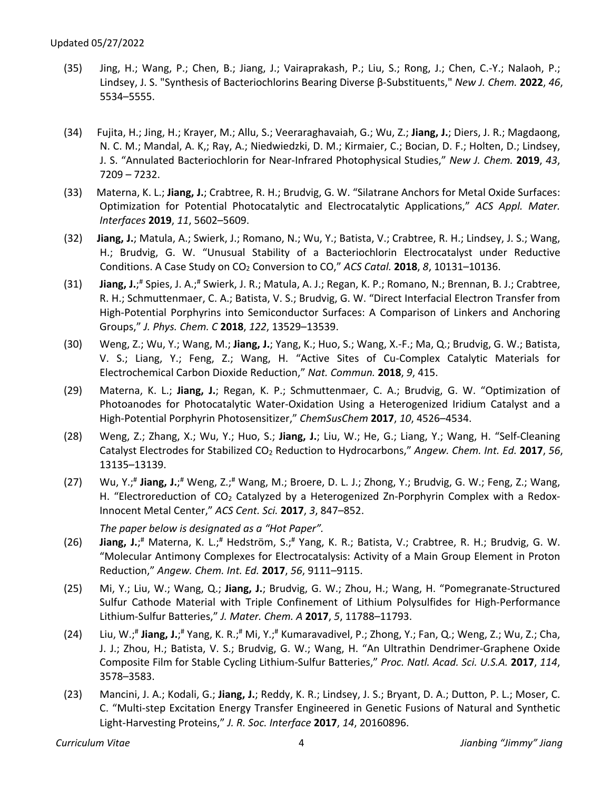- (35) Jing, H.; Wang, P.; Chen, B.; Jiang, J.; Vairaprakash, P.; Liu, S.; Rong, J.; Chen, C.-Y.; Nalaoh, P.; Lindsey, J. S. "Synthesis of Bacteriochlorins Bearing Diverse β-Substituents," *New J. Chem.* **2022**, *46*, 5534–5555.
- (34) Fujita, H.; Jing, H.; Krayer, M.; Allu, S.; Veeraraghavaiah, G.; Wu, Z.; **Jiang, J.**; Diers, J. R.; Magdaong, N. C. M.; Mandal, A. K,; Ray, A.; Niedwiedzki, D. M.; Kirmaier, C.; Bocian, D. F.; Holten, D.; Lindsey, J. S. "Annulated Bacteriochlorin for Near-Infrared Photophysical Studies," *New J. Chem.* **2019**, *43*, 7209 – 7232.
- (33) Materna, K. L.; **Jiang, J.**; Crabtree, R. H.; Brudvig, G. W. "Silatrane Anchors for Metal Oxide Surfaces: Optimization for Potential Photocatalytic and Electrocatalytic Applications," *ACS Appl. Mater. Interfaces* **2019**, *11*, 5602–5609.
- (32) **Jiang, J.**; Matula, A.; Swierk, J.; Romano, N.; Wu, Y.; Batista, V.; Crabtree, R. H.; Lindsey, J. S.; Wang, H.; Brudvig, G. W. "Unusual Stability of a Bacteriochlorin Electrocatalyst under Reductive Conditions. A Case Study on CO2 Conversion to CO," *ACS Catal.* **2018**, *8*, 10131–10136.
- (31) **Jiang, J.**;<sup>#</sup> Spies, J. A.;<sup>#</sup> Swierk, J. R.; Matula, A. J.; Regan, K. P.; Romano, N.; Brennan, B. J.; Crabtree, R. H.; Schmuttenmaer, C. A.; Batista, V. S.; Brudvig, G. W. "Direct Interfacial Electron Transfer from High-Potential Porphyrins into Semiconductor Surfaces: A Comparison of Linkers and Anchoring Groups," *J. Phys. Chem. C* **2018**, *122*, 13529–13539.
- (30) Weng, Z.; Wu, Y.; Wang, M.; **Jiang, J.**; Yang, K.; Huo, S.; Wang, X.-F.; Ma, Q.; Brudvig, G. W.; Batista, V. S.; Liang, Y.; Feng, Z.; Wang, H. "Active Sites of Cu-Complex Catalytic Materials for Electrochemical Carbon Dioxide Reduction," *Nat. Commun.* **2018**, *9*, 415.
- (29) Materna, K. L.; **Jiang, J.**; Regan, K. P.; Schmuttenmaer, C. A.; Brudvig, G. W. "Optimization of Photoanodes for Photocatalytic Water-Oxidation Using a Heterogenized Iridium Catalyst and a High-Potential Porphyrin Photosensitizer," *ChemSusChem* **2017**, *10*, 4526–4534.
- (28) Weng, Z.; Zhang, X.; Wu, Y.; Huo, S.; **Jiang, J.**; Liu, W.; He, G.; Liang, Y.; Wang, H. "Self-Cleaning Catalyst Electrodes for Stabilized CO2 Reduction to Hydrocarbons," *Angew. Chem. Int. Ed.* **2017**, *56*, 13135–13139.
- (27) Wu, Y.;<sup>#</sup> Jiang, J.;<sup>#</sup> Weng, Z.;<sup>#</sup> Wang, M.; Broere, D. L. J.; Zhong, Y.; Brudvig, G. W.; Feng, Z.; Wang, H. "Electroreduction of  $CO<sub>2</sub>$  Catalyzed by a Heterogenized Zn-Porphyrin Complex with a Redox-Innocent Metal Center," *ACS Cent. Sci.* **2017**, *3*, 847–852.

*The paper below is designated as a "Hot Paper".*

- (26) **Jiang, J.**; # Materna, K. L.;# Hedström, S.;# Yang, K. R.; Batista, V.; Crabtree, R. H.; Brudvig, G. W. "Molecular Antimony Complexes for Electrocatalysis: Activity of a Main Group Element in Proton Reduction," *Angew. Chem. Int. Ed.* **2017**, *56*, 9111–9115.
- (25) Mi, Y.; Liu, W.; Wang, Q.; **Jiang, J.**; Brudvig, G. W.; Zhou, H.; Wang, H. "Pomegranate-Structured Sulfur Cathode Material with Triple Confinement of Lithium Polysulfides for High-Performance Lithium-Sulfur Batteries," *J. Mater. Chem. A* **2017**, *5*, 11788–11793.
- (24) Liu, W.;<sup>#</sup> Jiang, J.;<sup>#</sup> Yang, K. R.;<sup>#</sup> Mi, Y.;<sup>#</sup> Kumaravadivel, P.; Zhong, Y.; Fan, Q.; Weng, Z.; Wu, Z.; Cha, J. J.; Zhou, H.; Batista, V. S.; Brudvig, G. W.; Wang, H. "An Ultrathin Dendrimer-Graphene Oxide Composite Film for Stable Cycling Lithium-Sulfur Batteries," *Proc. Natl. Acad. Sci. U.S.A.* **2017**, *114*, 3578–3583.
- (23) Mancini, J. A.; Kodali, G.; **Jiang, J.**; Reddy, K. R.; Lindsey, J. S.; Bryant, D. A.; Dutton, P. L.; Moser, C. C. "Multi-step Excitation Energy Transfer Engineered in Genetic Fusions of Natural and Synthetic Light-Harvesting Proteins," *J. R. Soc. Interface* **2017**, *14*, 20160896.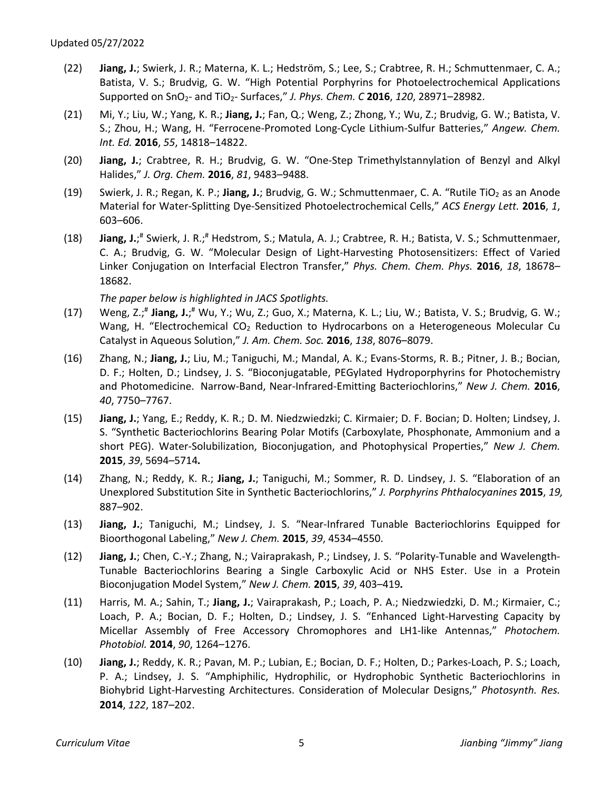- (22) **Jiang, J.**; Swierk, J. R.; Materna, K. L.; Hedström, S.; Lee, S.; Crabtree, R. H.; Schmuttenmaer, C. A.; Batista, V. S.; Brudvig, G. W. "High Potential Porphyrins for Photoelectrochemical Applications Supported on SnO2- and TiO2- Surfaces," *J. Phys. Chem. C* **2016**, *120*, 28971–28982.
- (21) Mi, Y.; Liu, W.; Yang, K. R.; **Jiang, J.**; Fan, Q.; Weng, Z.; Zhong, Y.; Wu, Z.; Brudvig, G. W.; Batista, V. S.; Zhou, H.; Wang, H. "Ferrocene-Promoted Long-Cycle Lithium-Sulfur Batteries," *Angew. Chem. Int. Ed.* **2016**, *55*, 14818–14822.
- (20) **Jiang, J.**; Crabtree, R. H.; Brudvig, G. W. "One-Step Trimethylstannylation of Benzyl and Alkyl Halides," *J. Org. Chem.* **2016**, *81*, 9483–9488.
- (19) Swierk, J. R.; Regan, K. P.; **Jiang, J.**; Brudvig, G. W.; Schmuttenmaer, C. A. "Rutile TiO<sub>2</sub> as an Anode Material for Water-Splitting Dye-Sensitized Photoelectrochemical Cells," *ACS Energy Lett.* **2016**, *1*, 603–606.
- (18) **Jiang, J.**; # Swierk, J. R.;# Hedstrom, S.; Matula, A. J.; Crabtree, R. H.; Batista, V. S.; Schmuttenmaer, C. A.; Brudvig, G. W. "Molecular Design of Light-Harvesting Photosensitizers: Effect of Varied Linker Conjugation on Interfacial Electron Transfer," *Phys. Chem. Chem. Phys.* **2016**, *18*, 18678– 18682.

*The paper below is highlighted in JACS Spotlights.* 

- (17) Weng, Z.;<sup>#</sup> Jiang, J.;<sup>#</sup> Wu, Y.; Wu, Z.; Guo, X.; Materna, K. L.; Liu, W.; Batista, V. S.; Brudvig, G. W.; Wang, H. "Electrochemical CO<sub>2</sub> Reduction to Hydrocarbons on a Heterogeneous Molecular Cu Catalyst in Aqueous Solution," *J. Am. Chem. Soc.* **2016**, *138*, 8076–8079.
- (16) Zhang, N.; **Jiang, J.**; Liu, M.; Taniguchi, M.; Mandal, A. K.; Evans-Storms, R. B.; Pitner, J. B.; Bocian, D. F.; Holten, D.; Lindsey, J. S. "Bioconjugatable, PEGylated Hydroporphyrins for Photochemistry and Photomedicine. Narrow-Band, Near-Infrared-Emitting Bacteriochlorins," *New J. Chem.* **2016**, *40*, 7750–7767.
- (15) **Jiang, J.**; Yang, E.; Reddy, K. R.; D. M. Niedzwiedzki; C. Kirmaier; D. F. Bocian; D. Holten; Lindsey, J. S. "Synthetic Bacteriochlorins Bearing Polar Motifs (Carboxylate, Phosphonate, Ammonium and a short PEG). Water-Solubilization, Bioconjugation, and Photophysical Properties," *New J. Chem.*  **2015**, *39*, 5694–5714*.*
- (14) Zhang, N.; Reddy, K. R.; **Jiang, J.**; Taniguchi, M.; Sommer, R. D. Lindsey, J. S. "Elaboration of an Unexplored Substitution Site in Synthetic Bacteriochlorins," *J. Porphyrins Phthalocyanines* **2015**, *19,* 887–902.
- (13) **Jiang, J.**; Taniguchi, M.; Lindsey, J. S. "Near-Infrared Tunable Bacteriochlorins Equipped for Bioorthogonal Labeling," *New J. Chem.* **2015**, *39*, 4534–4550.
- (12) **Jiang, J.**; Chen, C.-Y.; Zhang, N.; Vairaprakash, P.; Lindsey, J. S. "Polarity-Tunable and Wavelength-Tunable Bacteriochlorins Bearing a Single Carboxylic Acid or NHS Ester. Use in a Protein Bioconjugation Model System," *New J. Chem.* **2015**, *39*, 403–419*.*
- (11) Harris, M. A.; Sahin, T.; **Jiang, J.**; Vairaprakash, P.; Loach, P. A.; Niedzwiedzki, D. M.; Kirmaier, C.; Loach, P. A.; Bocian, D. F.; Holten, D.; Lindsey, J. S. "Enhanced Light-Harvesting Capacity by Micellar Assembly of Free Accessory Chromophores and LH1-like Antennas," *Photochem. Photobiol.* **2014**, *90*, 1264–1276.
- (10) **Jiang, J.**; Reddy, K. R.; Pavan, M. P.; Lubian, E.; Bocian, D. F.; Holten, D.; Parkes-Loach, P. S.; Loach, P. A.; Lindsey, J. S. "Amphiphilic, Hydrophilic, or Hydrophobic Synthetic Bacteriochlorins in Biohybrid Light-Harvesting Architectures. Consideration of Molecular Designs," *Photosynth. Res.* **2014**, *122*, 187–202.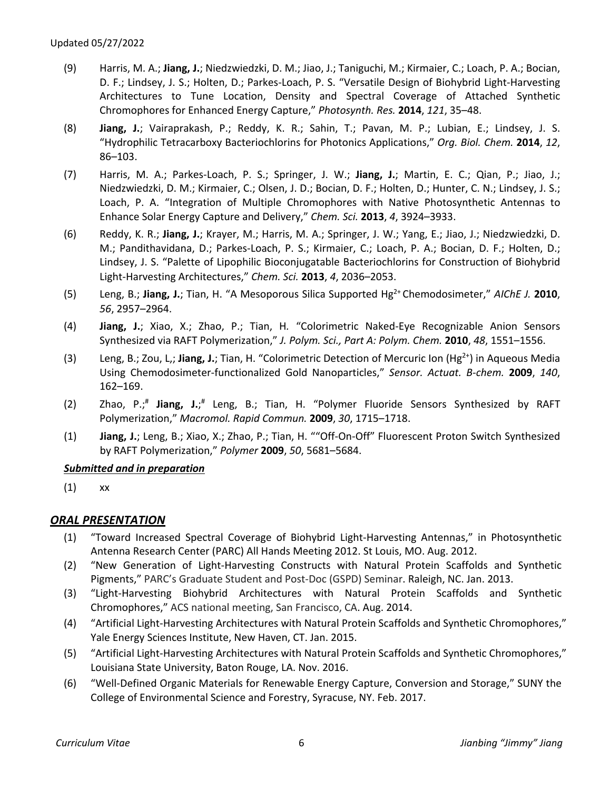- (9) Harris, M. A.; **Jiang, J.**; Niedzwiedzki, D. M.; Jiao, J.; Taniguchi, M.; Kirmaier, C.; Loach, P. A.; Bocian, D. F.; Lindsey, J. S.; Holten, D.; Parkes-Loach, P. S. "Versatile Design of Biohybrid Light-Harvesting Architectures to Tune Location, Density and Spectral Coverage of Attached Synthetic Chromophores for Enhanced Energy Capture," *Photosynth. Res.* **2014**, *121*, 35–48.
- (8) **Jiang, J.**; Vairaprakash, P.; Reddy, K. R.; Sahin, T.; Pavan, M. P.; Lubian, E.; Lindsey, J. S. "Hydrophilic Tetracarboxy Bacteriochlorins for Photonics Applications," *Org. Biol. Chem.* **2014**, *12*, 86–103.
- (7) Harris, M. A.; Parkes-Loach, P. S.; Springer, J. W.; **Jiang, J.**; Martin, E. C.; Qian, P.; Jiao, J.; Niedzwiedzki, D. M.; Kirmaier, C.; Olsen, J. D.; Bocian, D. F.; Holten, D.; Hunter, C. N.; Lindsey, J. S.; Loach, P. A. "Integration of Multiple Chromophores with Native Photosynthetic Antennas to Enhance Solar Energy Capture and Delivery," *Chem. Sci.* **2013**, *4*, 3924–3933.
- (6) Reddy, K. R.; **Jiang, J.**; Krayer, M.; Harris, M. A.; Springer, J. W.; Yang, E.; Jiao, J.; Niedzwiedzki, D. M.; Pandithavidana, D.; Parkes-Loach, P. S.; Kirmaier, C.; Loach, P. A.; Bocian, D. F.; Holten, D.; Lindsey, J. S. "Palette of Lipophilic Bioconjugatable Bacteriochlorins for Construction of Biohybrid Light-Harvesting Architectures," *Chem. Sci.* **2013**, *4*, 2036–2053.
- (5) Leng, B.; **Jiang, J.**; Tian, H. "A Mesoporous Silica Supported Hg2+ Chemodosimeter," *AIChE J.* **2010**, *56*, 2957–2964.
- (4) **Jiang, J.**; Xiao, X.; Zhao, P.; Tian, H*.* "Colorimetric Naked-Eye Recognizable Anion Sensors Synthesized via RAFT Polymerization," *J. Polym. Sci., Part A: Polym. Chem.* **2010**, *48*, 1551–1556.
- (3) Leng, B.; Zou, L,; **Jiang, J.**; Tian, H. "Colorimetric Detection of Mercuric Ion (Hg2+) in Aqueous Media Using Chemodosimeter-functionalized Gold Nanoparticles," *Sensor. Actuat. B-chem.* **2009**, *140*, 162–169.
- (2) Zhao, P.; # **Jiang, J.**; # Leng, B.; Tian, H. "Polymer Fluoride Sensors Synthesized by RAFT Polymerization," *Macromol. Rapid Commun.* **2009**, *30*, 1715–1718.
- (1) **Jiang, J.**; Leng, B.; Xiao, X.; Zhao, P.; Tian, H. ""Off-On-Off" Fluorescent Proton Switch Synthesized by RAFT Polymerization," *Polymer* **2009**, *50*, 5681–5684.

## *Submitted and in preparation*

(1) xx

## *ORAL PRESENTATION*

- (1) "Toward Increased Spectral Coverage of Biohybrid Light-Harvesting Antennas," in Photosynthetic Antenna Research Center (PARC) All Hands Meeting 2012. St Louis, MO. Aug. 2012.
- (2) "New Generation of Light-Harvesting Constructs with Natural Protein Scaffolds and Synthetic Pigments," PARC's Graduate Student and Post-Doc (GSPD) Seminar. Raleigh, NC. Jan. 2013.
- (3) "Light-Harvesting Biohybrid Architectures with Natural Protein Scaffolds and Synthetic Chromophores," ACS national meeting, San Francisco, CA. Aug. 2014.
- (4) "Artificial Light-Harvesting Architectures with Natural Protein Scaffolds and Synthetic Chromophores," Yale Energy Sciences Institute, New Haven, CT. Jan. 2015.
- (5) "Artificial Light-Harvesting Architectures with Natural Protein Scaffolds and Synthetic Chromophores," Louisiana State University, Baton Rouge, LA. Nov. 2016.
- (6) "Well-Defined Organic Materials for Renewable Energy Capture, Conversion and Storage," SUNY the College of Environmental Science and Forestry, Syracuse, NY. Feb. 2017.